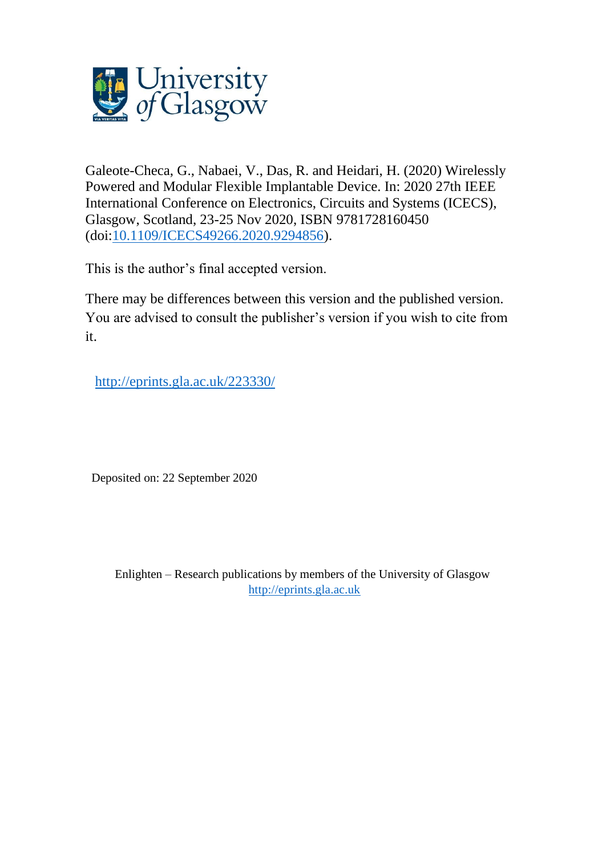

Galeote-Checa, G., Nabaei, V., Das, R. and Heidari, H. (2020) Wirelessly Powered and Modular Flexible Implantable Device. In: 2020 27th IEEE International Conference on Electronics, Circuits and Systems (ICECS), Glasgow, Scotland, 23-25 Nov 2020, ISBN 9781728160450 (doi[:10.1109/ICECS49266.2020.9294856\)](http://dx.doi.org/10.1109/ICECS49266.2020.9294856).

This is the author's final accepted version.

There may be differences between this version and the published version. You are advised to consult the publisher's version if you wish to cite from it.

[http://eprints.gla.ac.uk/223330/](http://eprints.gla.ac.uk/220667/) 

Deposited on: 22 September 2020

Enlighten – Research publications by members of the University of Glasgow [http://eprints.gla.ac.uk](http://eprints.gla.ac.uk/)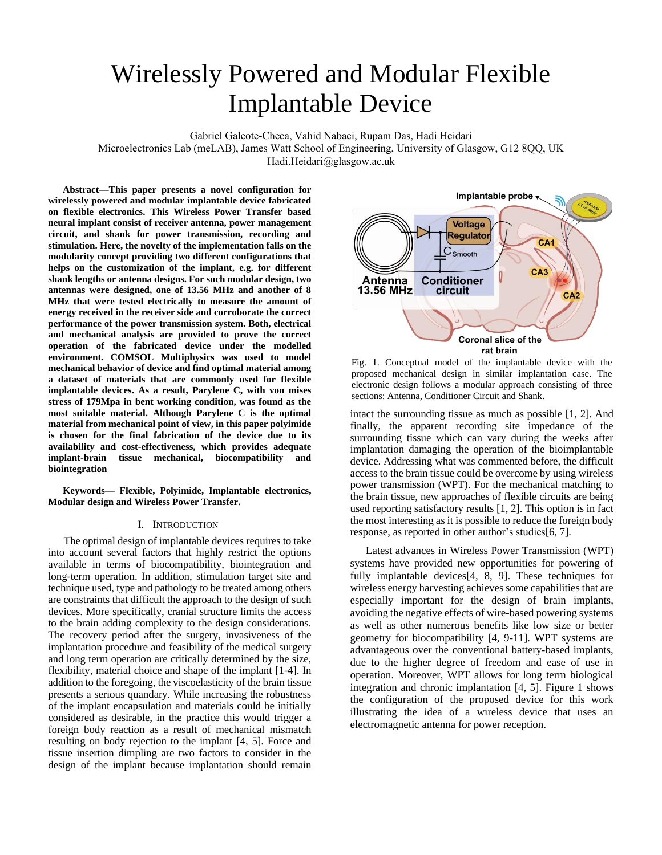# Wirelessly Powered and Modular Flexible Implantable Device

Gabriel Galeote-Checa, Vahid Nabaei, Rupam Das, Hadi Heidari

Microelectronics Lab (meLAB), James Watt School of Engineering, University of Glasgow, G12 8QQ, UK

Hadi.Heidari@glasgow.ac.uk

**Abstract—This paper presents a novel configuration for wirelessly powered and modular implantable device fabricated on flexible electronics. This Wireless Power Transfer based neural implant consist of receiver antenna, power management circuit, and shank for power transmission, recording and stimulation. Here, the novelty of the implementation falls on the modularity concept providing two different configurations that helps on the customization of the implant, e.g. for different shank lengths or antenna designs. For such modular design, two antennas were designed, one of 13.56 MHz and another of 8 MHz that were tested electrically to measure the amount of energy received in the receiver side and corroborate the correct performance of the power transmission system. Both, electrical and mechanical analysis are provided to prove the correct operation of the fabricated device under the modelled environment. COMSOL Multiphysics was used to model mechanical behavior of device and find optimal material among a dataset of materials that are commonly used for flexible implantable devices. As a result, Parylene C, with von mises stress of 179Mpa in bent working condition, was found as the most suitable material. Although Parylene C is the optimal material from mechanical point of view, in this paper polyimide is chosen for the final fabrication of the device due to its availability and cost-effectiveness, which provides adequate implant-brain tissue mechanical, biocompatibility and biointegration**

**Keywords— Flexible, Polyimide, Implantable electronics, Modular design and Wireless Power Transfer.**

# I. INTRODUCTION

The optimal design of implantable devices requires to take into account several factors that highly restrict the options available in terms of biocompatibility, biointegration and long-term operation. In addition, stimulation target site and technique used, type and pathology to be treated among others are constraints that difficult the approach to the design of such devices. More specifically, cranial structure limits the access to the brain adding complexity to the design considerations. The recovery period after the surgery, invasiveness of the implantation procedure and feasibility of the medical surgery and long term operation are critically determined by the size, flexibility, material choice and shape of the implant [1-4]. In addition to the foregoing, the viscoelasticity of the brain tissue presents a serious quandary. While increasing the robustness of the implant encapsulation and materials could be initially considered as desirable, in the practice this would trigger a foreign body reaction as a result of mechanical mismatch resulting on body rejection to the implant [4, 5]. Force and tissue insertion dimpling are two factors to consider in the design of the implant because implantation should remain



Fig. 1. Conceptual model of the implantable device with the proposed mechanical design in similar implantation case. The electronic design follows a modular approach consisting of three sections: Antenna, Conditioner Circuit and Shank.

intact the surrounding tissue as much as possible [1, 2]. And finally, the apparent recording site impedance of the surrounding tissue which can vary during the weeks after implantation damaging the operation of the bioimplantable device. Addressing what was commented before, the difficult access to the brain tissue could be overcome by using wireless power transmission (WPT). For the mechanical matching to the brain tissue, new approaches of flexible circuits are being used reporting satisfactory results [1, 2]. This option is in fact the most interesting as it is possible to reduce the foreign body response, as reported in other author's studies[6, 7].

Latest advances in Wireless Power Transmission (WPT) systems have provided new opportunities for powering of fully implantable devices[4, 8, 9]. These techniques for wireless energy harvesting achieves some capabilities that are especially important for the design of brain implants, avoiding the negative effects of wire-based powering systems as well as other numerous benefits like low size or better geometry for biocompatibility [4, 9-11]. WPT systems are advantageous over the conventional battery-based implants, due to the higher degree of freedom and ease of use in operation. Moreover, WPT allows for long term biological integration and chronic implantation [4, 5]. Figure 1 shows the configuration of the proposed device for this work illustrating the idea of a wireless device that uses an electromagnetic antenna for power reception.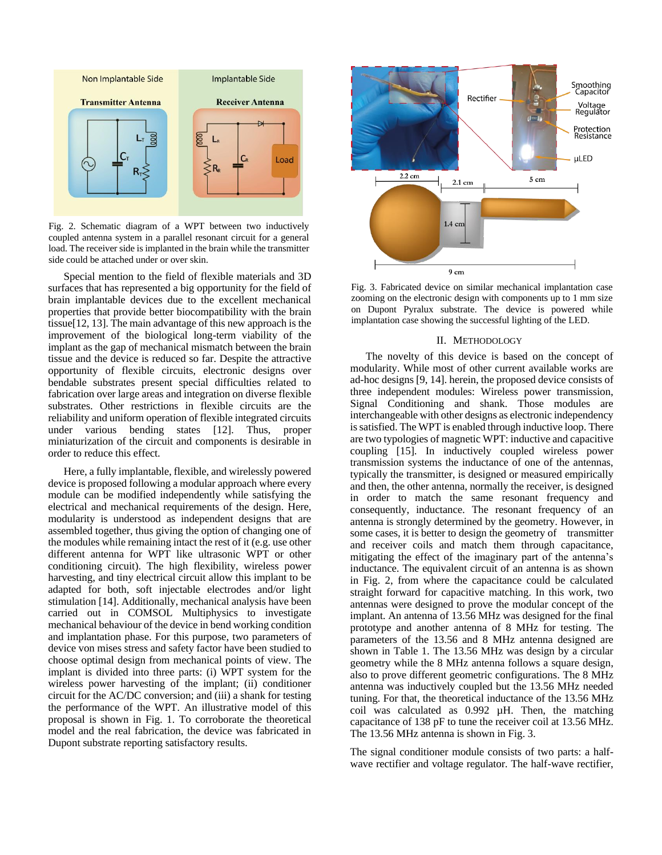

Fig. 2. Schematic diagram of a WPT between two inductively coupled antenna system in a parallel resonant circuit for a general load. The receiver side is implanted in the brain while the transmitter side could be attached under or over skin.

Special mention to the field of flexible materials and 3D surfaces that has represented a big opportunity for the field of brain implantable devices due to the excellent mechanical properties that provide better biocompatibility with the brain tissue[12, 13]. The main advantage of this new approach is the improvement of the biological long-term viability of the implant as the gap of mechanical mismatch between the brain tissue and the device is reduced so far. Despite the attractive opportunity of flexible circuits, electronic designs over bendable substrates present special difficulties related to fabrication over large areas and integration on diverse flexible substrates. Other restrictions in flexible circuits are the reliability and uniform operation of flexible integrated circuits under various bending states [12]. Thus, proper miniaturization of the circuit and components is desirable in order to reduce this effect.

Here, a fully implantable, flexible, and wirelessly powered device is proposed following a modular approach where every module can be modified independently while satisfying the electrical and mechanical requirements of the design. Here, modularity is understood as independent designs that are assembled together, thus giving the option of changing one of the modules while remaining intact the rest of it (e.g. use other different antenna for WPT like ultrasonic WPT or other conditioning circuit). The high flexibility, wireless power harvesting, and tiny electrical circuit allow this implant to be adapted for both, soft injectable electrodes and/or light stimulation [14]. Additionally, mechanical analysis have been carried out in COMSOL Multiphysics to investigate mechanical behaviour of the device in bend working condition and implantation phase. For this purpose, two parameters of device von mises stress and safety factor have been studied to choose optimal design from mechanical points of view. The implant is divided into three parts: (i) WPT system for the wireless power harvesting of the implant; (ii) conditioner circuit for the AC/DC conversion; and (iii) a shank for testing the performance of the WPT. An illustrative model of this proposal is shown in Fig. 1. To corroborate the theoretical model and the real fabrication, the device was fabricated in Dupont substrate reporting satisfactory results.



Fig. 3. Fabricated device on similar mechanical implantation case zooming on the electronic design with components up to 1 mm size on Dupont Pyralux substrate. The device is powered while implantation case showing the successful lighting of the LED.

## II. METHODOLOGY

The novelty of this device is based on the concept of modularity. While most of other current available works are ad-hoc designs [9, 14]. herein, the proposed device consists of three independent modules: Wireless power transmission, Signal Conditioning and shank. Those modules are interchangeable with other designs as electronic independency is satisfied. The WPT is enabled through inductive loop. There are two typologies of magnetic WPT: inductive and capacitive coupling [15]. In inductively coupled wireless power transmission systems the inductance of one of the antennas, typically the transmitter, is designed or measured empirically and then, the other antenna, normally the receiver, is designed in order to match the same resonant frequency and consequently, inductance. The resonant frequency of an antenna is strongly determined by the geometry. However, in some cases, it is better to design the geometry of transmitter and receiver coils and match them through capacitance, mitigating the effect of the imaginary part of the antenna's inductance. The equivalent circuit of an antenna is as shown in Fig. 2, from where the capacitance could be calculated straight forward for capacitive matching. In this work, two antennas were designed to prove the modular concept of the implant. An antenna of 13.56 MHz was designed for the final prototype and another antenna of 8 MHz for testing. The parameters of the 13.56 and 8 MHz antenna designed are shown in Table 1. The 13.56 MHz was design by a circular geometry while the 8 MHz antenna follows a square design, also to prove different geometric configurations. The 8 MHz antenna was inductively coupled but the 13.56 MHz needed tuning. For that, the theoretical inductance of the 13.56 MHz coil was calculated as 0.992 µH. Then, the matching capacitance of 138 pF to tune the receiver coil at 13.56 MHz. The 13.56 MHz antenna is shown in Fig. 3.

The signal conditioner module consists of two parts: a halfwave rectifier and voltage regulator. The half-wave rectifier,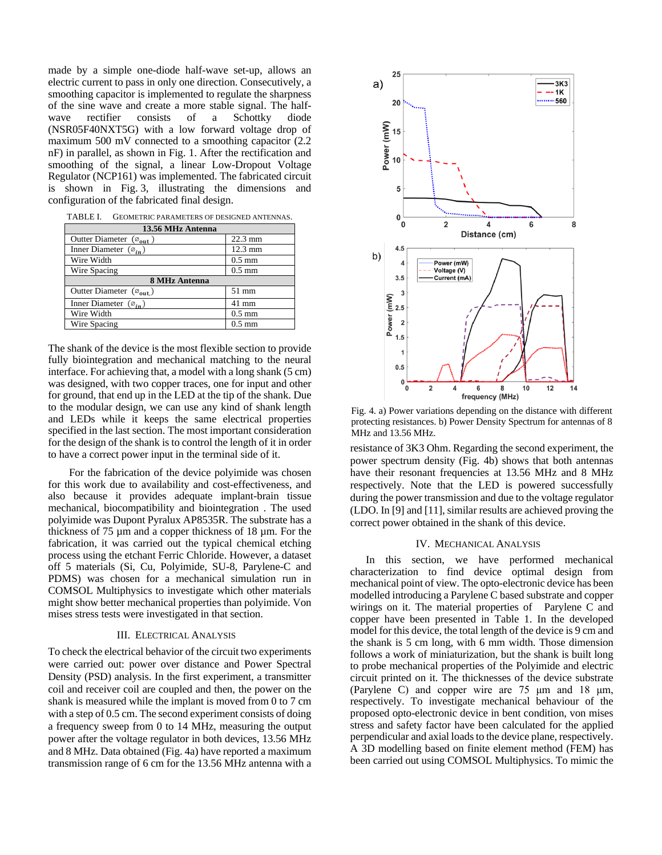made by a simple one-diode half-wave set-up, allows an electric current to pass in only one direction. Consecutively, a smoothing capacitor is implemented to regulate the sharpness of the sine wave and create a more stable signal. The halfwave rectifier consists of a Schottky diode (NSR05F40NXT5G) with a low forward voltage drop of maximum 500 mV connected to a smoothing capacitor (2.2 nF) in parallel, as shown in Fig. 1. After the rectification and smoothing of the signal, a linear Low-Dropout Voltage Regulator (NCP161) was implemented. The fabricated circuit is shown in Fig. 3, illustrating the dimensions and configuration of the fabricated final design.

TABLE I. GEOMETRIC PARAMETERS OF DESIGNED ANTENNAS.

| 13.56 MHz Antenna                            |                   |  |  |
|----------------------------------------------|-------------------|--|--|
| Outter Diameter $(\varnothing_{\text{out}})$ | $22.3 \text{ mm}$ |  |  |
| Inner Diameter $(\varnothing_{in})$          | $12.3 \text{ mm}$ |  |  |
| Wire Width                                   | $0.5 \text{ mm}$  |  |  |
| Wire Spacing                                 | $0.5 \text{ mm}$  |  |  |
| <b>8 MHz Antenna</b>                         |                   |  |  |
| Outter Diameter (Ø <sub>out.</sub> )         | 51 mm             |  |  |
| Inner Diameter $(\varnothing_{in})$          | 41 mm             |  |  |
| Wire Width                                   | $0.5 \text{ mm}$  |  |  |
| Wire Spacing                                 | $0.5 \text{ mm}$  |  |  |

The shank of the device is the most flexible section to provide fully biointegration and mechanical matching to the neural interface. For achieving that, a model with a long shank (5 cm) was designed, with two copper traces, one for input and other for ground, that end up in the LED at the tip of the shank. Due to the modular design, we can use any kind of shank length and LEDs while it keeps the same electrical properties specified in the last section. The most important consideration for the design of the shank is to control the length of it in order to have a correct power input in the terminal side of it.

For the fabrication of the device polyimide was chosen for this work due to availability and cost-effectiveness, and also because it provides adequate implant-brain tissue mechanical, biocompatibility and biointegration . The used polyimide was Dupont Pyralux AP8535R. The substrate has a thickness of 75 µm and a copper thickness of 18 µm. For the fabrication, it was carried out the typical chemical etching process using the etchant Ferric Chloride. However, a dataset off 5 materials (Si, Cu, Polyimide, SU-8, Parylene-C and PDMS) was chosen for a mechanical simulation run in COMSOL Multiphysics to investigate which other materials might show better mechanical properties than polyimide. Von mises stress tests were investigated in that section.

## III. ELECTRICAL ANALYSIS

To check the electrical behavior of the circuit two experiments were carried out: power over distance and Power Spectral Density (PSD) analysis. In the first experiment, a transmitter coil and receiver coil are coupled and then, the power on the shank is measured while the implant is moved from 0 to 7 cm with a step of 0.5 cm. The second experiment consists of doing a frequency sweep from 0 to 14 MHz, measuring the output power after the voltage regulator in both devices, 13.56 MHz and 8 MHz. Data obtained (Fig. 4a) have reported a maximum transmission range of 6 cm for the 13.56 MHz antenna with a



Fig. 4. a) Power variations depending on the distance with different protecting resistances. b) Power Density Spectrum for antennas of 8 MHz and 13.56 MHz.

resistance of 3K3 Ohm. Regarding the second experiment, the power spectrum density (Fig. 4b) shows that both antennas have their resonant frequencies at 13.56 MHz and 8 MHz respectively. Note that the LED is powered successfully during the power transmission and due to the voltage regulator (LDO. In [9] and [11], similar results are achieved proving the correct power obtained in the shank of this device.

#### IV. MECHANICAL ANALYSIS

In this section, we have performed mechanical characterization to find device optimal design from mechanical point of view. The opto-electronic device has been modelled introducing a Parylene C based substrate and copper wirings on it. The material properties of Parylene C and copper have been presented in Table 1. In the developed model for this device, the total length of the device is 9 cm and the shank is 5 cm long, with 6 mm width. Those dimension follows a work of miniaturization, but the shank is built long to probe mechanical properties of the Polyimide and electric circuit printed on it. The thicknesses of the device substrate (Parylene C) and copper wire are 75 μm and 18 μm, respectively. To investigate mechanical behaviour of the proposed opto-electronic device in bent condition, von mises stress and safety factor have been calculated for the applied perpendicular and axial loadsto the device plane, respectively. A 3D modelling based on finite element method (FEM) has been carried out using COMSOL Multiphysics. To mimic the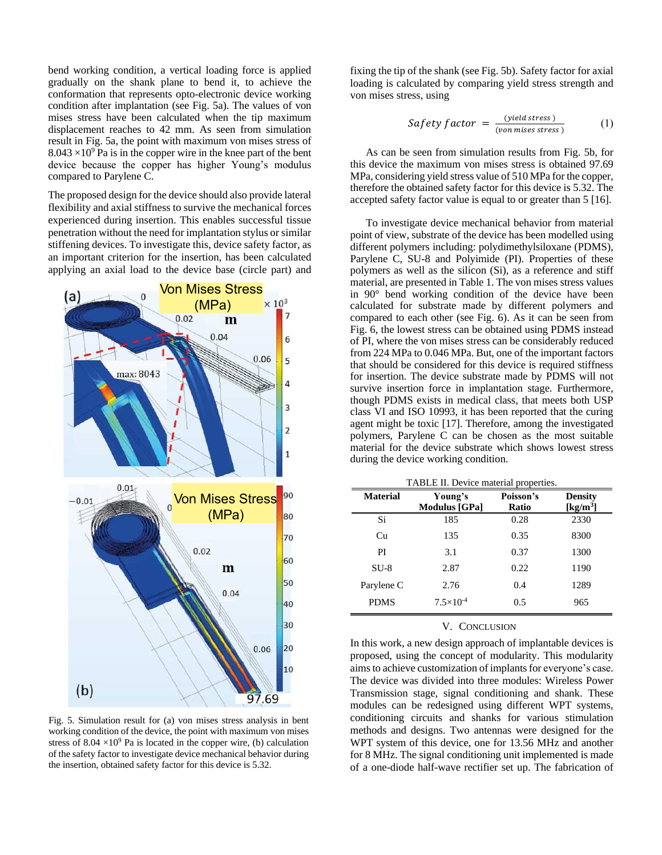bend working condition, a vertical loading force is applied gradually on the shank plane to bend it, to achieve the conformation that represents opto-electronic device working condition after implantation (see Fig. 5a). The values of von mises stress have been calculated when the tip maximum displacement reaches to 42 mm. As seen from simulation result in Fig. 5a, the point with maximum von mises stress of  $8.043 \times 10^9$  Pa is in the copper wire in the knee part of the bent device because the copper has higher Young's modulus compared to Parylene C.

The proposed design for the device should also provide lateral flexibility and axial stiffness to survive the mechanical forces experienced during insertion. This enables successful tissue penetration without the need for implantation stylus or similar stiffening devices. To investigate this, device safety factor, as an important criterion for the insertion, has been calculated applying an axial load to the device base (circle part) and



Fig. 5. Simulation result for (a) von mises stress analysis in bent working condition of the device, the point with maximum von mises stress of  $8.04 \times 10^9$  Pa is located in the copper wire, (b) calculation of the safety factor to investigate device mechanical behavior during the insertion, obtained safety factor for this device is 5.32.

fixing the tip of the shank (see Fig. 5b). Safety factor for axial loading is calculated by comparing yield stress strength and von mises stress, using

Safety factor = 
$$
\frac{(yield stress)}{(von misses stress)}
$$
 (1)

As can be seen from simulation results from Fig. 5b, for this device the maximum von mises stress is obtained 97.69 MPa, considering yield stress value of 510 MPa for the copper, therefore the obtained safety factor for this device is 5.32. The accepted safety factor value is equal to or greater than 5 [16].

To investigate device mechanical behavior from material point of view, substrate of the device has been modelled using different polymers including: polydimethylsiloxane (PDMS), Parylene C, SU-8 and Polyimide (PI). Properties of these polymers as well as the silicon (Si), as a reference and stiff material, are presented in Table 1. The von mises stress values in 90° bend working condition of the device have been calculated for substrate made by different polymers and compared to each other (see Fig. 6). As it can be seen from Fig. 6, the lowest stress can be obtained using PDMS instead of PI, where the von mises stress can be considerably reduced from 224 MPa to 0.046 MPa. But, one of the important factors that should be considered for this device is required stiffness for insertion. The device substrate made by PDMS will not survive insertion force in implantation stage. Furthermore, though PDMS exists in medical class, that meets both USP class VI and ISO 10993, it has been reported that the curing agent might be toxic [17]. Therefore, among the investigated polymers, Parylene C can be chosen as the most suitable material for the device substrate which shows lowest stress during the device working condition.

TABLE II. Device material properties.

| <b>Material</b> | Young's<br><b>Modulus</b> [GPa] | Poisson's<br>Ratio | <b>Density</b><br>$\left[\mathrm{kg/m^3}\right]$ |
|-----------------|---------------------------------|--------------------|--------------------------------------------------|
| Si              | 185                             | 0.28               | 2330                                             |
| Cu              | 135                             | 0.35               | 8300                                             |
| PI              | 3.1                             | 0.37               | 1300                                             |
| SU-8            | 2.87                            | 0.22               | 1190                                             |
| Parylene C      | 2.76                            | 0.4                | 1289                                             |
| <b>PDMS</b>     | $7.5 \times 10^{-4}$            | 0.5                | 965                                              |

## V. CONCLUSION

In this work, a new design approach of implantable devices is proposed, using the concept of modularity. This modularity aims to achieve customization of implants for everyone's case. The device was divided into three modules: Wireless Power Transmission stage, signal conditioning and shank. These modules can be redesigned using different WPT systems, conditioning circuits and shanks for various stimulation methods and designs. Two antennas were designed for the WPT system of this device, one for 13.56 MHz and another for 8 MHz. The signal conditioning unit implemented is made of a one-diode half-wave rectifier set up. The fabrication of